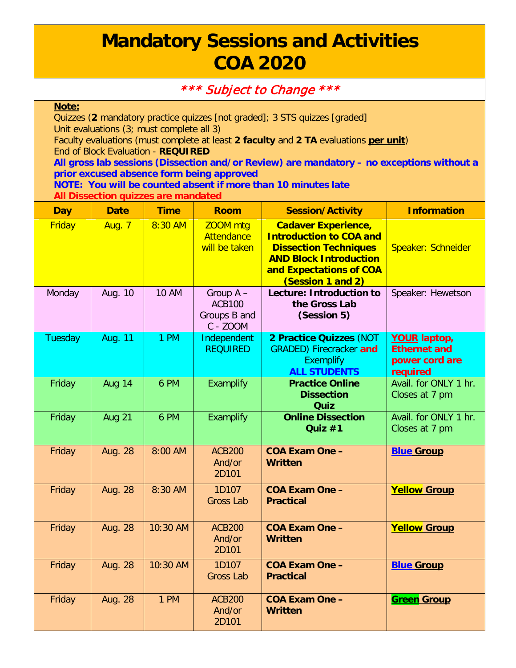## **Mandatory Sessions and Activities COA 2020**

## \*\*\* Subject to Change \*\*\*

## **Note:**

Quizzes (**2** mandatory practice quizzes [not graded]; 3 STS quizzes [graded] Unit evaluations (3; must complete all 3)

Faculty evaluations (must complete at least **2 faculty** and **2 TA** evaluations **per unit**) End of Block Evaluation - **REQUIRED**

**All gross lab sessions (Dissection and/or Review) are mandatory – no exceptions without a prior excused absence form being approved**

**NOTE: You will be counted absent if more than 10 minutes late All Dissection quizzes are mandated**

| <b>Day</b> | <b>Date</b>    | <b>Time</b>  | <b>Room</b>                                            | <b>Session/Activity</b>                                                                                                                                                       | <b>Information</b>                                                       |
|------------|----------------|--------------|--------------------------------------------------------|-------------------------------------------------------------------------------------------------------------------------------------------------------------------------------|--------------------------------------------------------------------------|
| Friday     | <b>Aug. 7</b>  | 8:30 AM      | <b>ZOOM</b> mtg<br><b>Attendance</b><br>will be taken  | <b>Cadaver Experience,</b><br><b>Introduction to COA and</b><br><b>Dissection Techniques</b><br><b>AND Block Introduction</b><br>and Expectations of COA<br>(Session 1 and 2) | Speaker: Schneider                                                       |
| Monday     | Aug. 10        | <b>10 AM</b> | Group A -<br><b>ACB100</b><br>Groups B and<br>C - ZOOM | <b>Lecture: Introduction to</b><br>the Gross Lab<br>(Session 5)                                                                                                               | Speaker: Hewetson                                                        |
| Tuesday    | <b>Aug. 11</b> | 1 PM         | Independent<br><b>REQUIRED</b>                         | 2 Practice Quizzes (NOT<br><b>GRADED)</b> Firecracker and<br><b>Exemplify</b><br><b>ALL STUDENTS</b>                                                                          | <b>YOUR laptop,</b><br><b>Ethernet and</b><br>power cord are<br>required |
| Friday     | <b>Aug 14</b>  | 6 PM         | Examplify                                              | <b>Practice Online</b><br><b>Dissection</b><br><b>Quiz</b>                                                                                                                    | Avail. for ONLY 1 hr.<br>Closes at 7 pm                                  |
| Friday     | Aug 21         | 6 PM         | <b>Examplify</b>                                       | <b>Online Dissection</b><br>Quiz $#1$                                                                                                                                         | Avail. for ONLY 1 hr.<br>Closes at 7 pm                                  |
| Friday     | <b>Aug. 28</b> | 8:00 AM      | <b>ACB200</b><br>And/or<br>2D101                       | <b>COA Exam One -</b><br><b>Written</b>                                                                                                                                       | <b>Blue Group</b>                                                        |
| Friday     | <b>Aug. 28</b> | 8:30 AM      | 1D107<br><b>Gross Lab</b>                              | <b>COA Exam One -</b><br><b>Practical</b>                                                                                                                                     | <b>Yellow Group</b>                                                      |
| Friday     | <b>Aug. 28</b> | 10:30 AM     | <b>ACB200</b><br>And/or<br>2D101                       | <b>COA Exam One -</b><br><b>Written</b>                                                                                                                                       | <b>Yellow Group</b>                                                      |
| Friday     | <b>Aug. 28</b> | 10:30 AM     | 1D107<br><b>Gross Lab</b>                              | <b>COA Exam One -</b><br><b>Practical</b>                                                                                                                                     | <b>Blue Group</b>                                                        |
| Friday     | <b>Aug. 28</b> | 1 PM         | <b>ACB200</b><br>And/or<br>2D101                       | <b>COA Exam One -</b><br><b>Written</b>                                                                                                                                       | <b>Green Group</b>                                                       |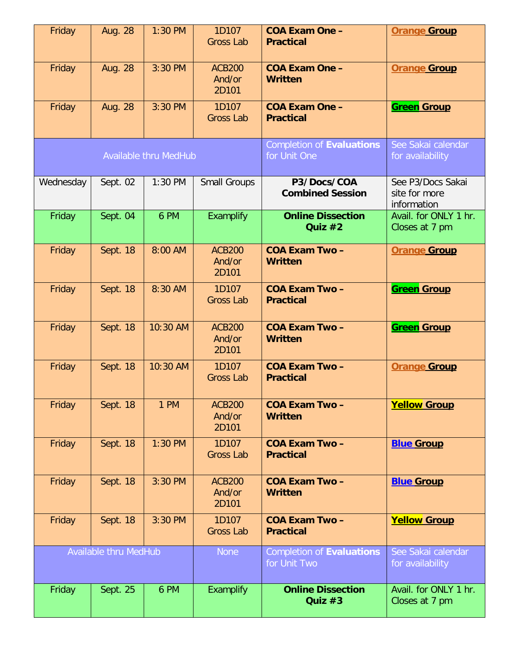| Friday                | Aug. 28        | 1:30 PM                      | 1D107<br><b>Gross Lab</b>        | <b>COA Exam One -</b><br><b>Practical</b>        | <b>Orange Group</b>                               |
|-----------------------|----------------|------------------------------|----------------------------------|--------------------------------------------------|---------------------------------------------------|
| Friday                | <b>Aug. 28</b> | 3:30 PM                      | <b>ACB200</b><br>And/or<br>2D101 | <b>COA Exam One -</b><br><b>Written</b>          | <b>Orange Group</b>                               |
| Friday                | <b>Aug. 28</b> | 3:30 PM                      | 1D107<br><b>Gross Lab</b>        | <b>COA Exam One -</b><br><b>Practical</b>        | <b>Green Group</b>                                |
|                       |                | <b>Available thru MedHub</b> |                                  | <b>Completion of Evaluations</b><br>for Unit One | See Sakai calendar<br>for availability            |
| Wednesday             | Sept. 02       | 1:30 PM                      | <b>Small Groups</b>              | P3/Docs/COA<br><b>Combined Session</b>           | See P3/Docs Sakai<br>site for more<br>information |
| Friday                | Sept. 04       | 6 PM                         | Examplify                        | <b>Online Dissection</b><br>Quiz #2              | Avail. for ONLY 1 hr.<br>Closes at 7 pm           |
| Friday                | Sept. 18       | 8:00 AM                      | <b>ACB200</b><br>And/or<br>2D101 | <b>COA Exam Two-</b><br><b>Written</b>           | <b>Orange Group</b>                               |
| Friday                | Sept. 18       | 8:30 AM                      | 1D107<br><b>Gross Lab</b>        | <b>COA Exam Two -</b><br><b>Practical</b>        | <b>Green Group</b>                                |
| Friday                | Sept. 18       | 10:30 AM                     | <b>ACB200</b><br>And/or<br>2D101 | <b>COA Exam Two-</b><br>Written                  | <b>Green Group</b>                                |
| Friday                | Sept. 18       | 10:30 AM                     | 1D107<br><b>Gross Lab</b>        | <b>COA Exam Two-</b><br><b>Practical</b>         | <b>Orange Group</b>                               |
| Friday                | Sept. 18       | 1 PM                         | <b>ACB200</b><br>And/or<br>2D101 | <b>COA Exam Two-</b><br><b>Written</b>           | <b>Yellow Group</b>                               |
| Friday                | Sept. 18       | $1:30$ PM                    | 1D107<br><b>Gross Lab</b>        | <b>COA Exam Two-</b><br><b>Practical</b>         | <b>Blue Group</b>                                 |
| Friday                | Sept. 18       | 3:30 PM                      | <b>ACB200</b><br>And/or<br>2D101 | <b>COA Exam Two-</b><br><b>Written</b>           | <b>Blue Group</b>                                 |
| Friday                | Sept. 18       | 3:30 PM                      | 1D107<br><b>Gross Lab</b>        | <b>COA Exam Two-</b><br><b>Practical</b>         | <b>Yellow Group</b>                               |
| Available thru MedHub |                |                              | <b>None</b>                      | <b>Completion of Evaluations</b><br>for Unit Two | See Sakai calendar<br>for availability            |
| Friday                | Sept. 25       | 6 PM                         | <b>Examplify</b>                 | <b>Online Dissection</b><br>Quiz $#3$            | Avail. for ONLY 1 hr.<br>Closes at 7 pm           |